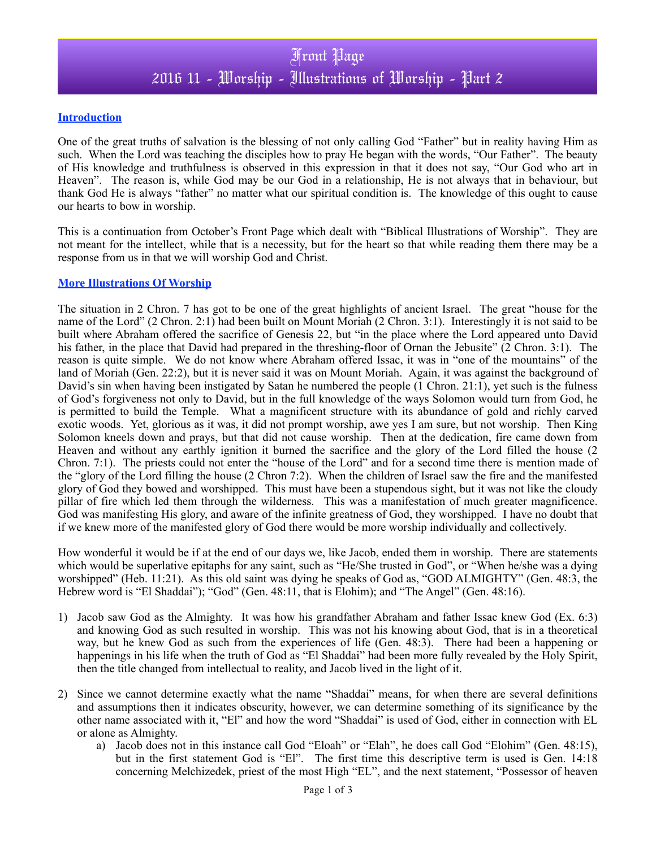## **Introduction**

One of the great truths of salvation is the blessing of not only calling God "Father" but in reality having Him as such. When the Lord was teaching the disciples how to pray He began with the words, "Our Father". The beauty of His knowledge and truthfulness is observed in this expression in that it does not say, "Our God who art in Heaven". The reason is, while God may be our God in a relationship, He is not always that in behaviour, but thank God He is always "father" no matter what our spiritual condition is. The knowledge of this ought to cause our hearts to bow in worship.

This is a continuation from October's Front Page which dealt with "Biblical Illustrations of Worship". They are not meant for the intellect, while that is a necessity, but for the heart so that while reading them there may be a response from us in that we will worship God and Christ.

## **More Illustrations Of Worship**

The situation in 2 Chron. 7 has got to be one of the great highlights of ancient Israel. The great "house for the name of the Lord" (2 Chron. 2:1) had been built on Mount Moriah (2 Chron. 3:1). Interestingly it is not said to be built where Abraham offered the sacrifice of Genesis 22, but "in the place where the Lord appeared unto David his father, in the place that David had prepared in the threshing-floor of Ornan the Jebusite" (2 Chron. 3:1). The reason is quite simple. We do not know where Abraham offered Issac, it was in "one of the mountains" of the land of Moriah (Gen. 22:2), but it is never said it was on Mount Moriah. Again, it was against the background of David's sin when having been instigated by Satan he numbered the people (1 Chron. 21:1), yet such is the fulness of God's forgiveness not only to David, but in the full knowledge of the ways Solomon would turn from God, he is permitted to build the Temple. What a magnificent structure with its abundance of gold and richly carved exotic woods. Yet, glorious as it was, it did not prompt worship, awe yes I am sure, but not worship. Then King Solomon kneels down and prays, but that did not cause worship. Then at the dedication, fire came down from Heaven and without any earthly ignition it burned the sacrifice and the glory of the Lord filled the house (2 Chron. 7:1). The priests could not enter the "house of the Lord" and for a second time there is mention made of the "glory of the Lord filling the house (2 Chron 7:2). When the children of Israel saw the fire and the manifested glory of God they bowed and worshipped. This must have been a stupendous sight, but it was not like the cloudy pillar of fire which led them through the wilderness. This was a manifestation of much greater magnificence. God was manifesting His glory, and aware of the infinite greatness of God, they worshipped. I have no doubt that if we knew more of the manifested glory of God there would be more worship individually and collectively.

How wonderful it would be if at the end of our days we, like Jacob, ended them in worship. There are statements which would be superlative epitaphs for any saint, such as "He/She trusted in God", or "When he/she was a dying worshipped" (Heb. 11:21). As this old saint was dying he speaks of God as, "GOD ALMIGHTY" (Gen. 48:3, the Hebrew word is "El Shaddai"); "God" (Gen. 48:11, that is Elohim); and "The Angel" (Gen. 48:16).

- 1) Jacob saw God as the Almighty. It was how his grandfather Abraham and father Issac knew God (Ex. 6:3) and knowing God as such resulted in worship. This was not his knowing about God, that is in a theoretical way, but he knew God as such from the experiences of life (Gen. 48:3). There had been a happening or happenings in his life when the truth of God as "El Shaddai" had been more fully revealed by the Holy Spirit, then the title changed from intellectual to reality, and Jacob lived in the light of it.
- 2) Since we cannot determine exactly what the name "Shaddai" means, for when there are several definitions and assumptions then it indicates obscurity, however, we can determine something of its significance by the other name associated with it, "El" and how the word "Shaddai" is used of God, either in connection with EL or alone as Almighty.
	- a) Jacob does not in this instance call God "Eloah" or "Elah", he does call God "Elohim" (Gen. 48:15), but in the first statement God is "El". The first time this descriptive term is used is Gen. 14:18 concerning Melchizedek, priest of the most High "EL", and the next statement, "Possessor of heaven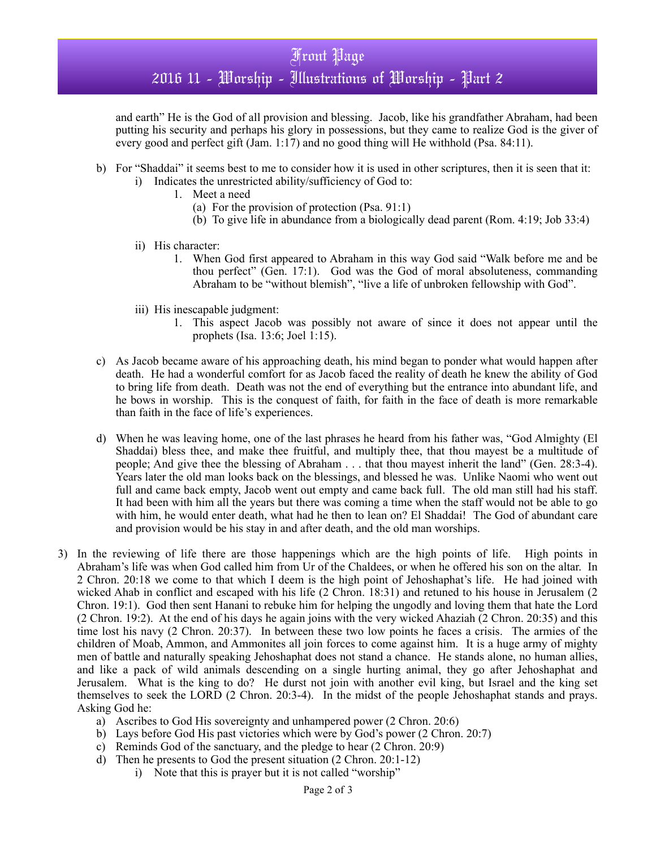and earth" He is the God of all provision and blessing. Jacob, like his grandfather Abraham, had been putting his security and perhaps his glory in possessions, but they came to realize God is the giver of every good and perfect gift (Jam. 1:17) and no good thing will He withhold (Psa. 84:11).

- b) For "Shaddai" it seems best to me to consider how it is used in other scriptures, then it is seen that it:
	- i) Indicates the unrestricted ability/sufficiency of God to:
		- 1. Meet a need
			- (a) For the provision of protection (Psa. 91:1)
			- (b) To give life in abundance from a biologically dead parent (Rom. 4:19; Job 33:4)
	- ii) His character:
		- 1. When God first appeared to Abraham in this way God said "Walk before me and be thou perfect" (Gen. 17:1). God was the God of moral absoluteness, commanding Abraham to be "without blemish", "live a life of unbroken fellowship with God".
	- iii) His inescapable judgment:
		- 1. This aspect Jacob was possibly not aware of since it does not appear until the prophets (Isa. 13:6; Joel 1:15).
- c) As Jacob became aware of his approaching death, his mind began to ponder what would happen after death. He had a wonderful comfort for as Jacob faced the reality of death he knew the ability of God to bring life from death. Death was not the end of everything but the entrance into abundant life, and he bows in worship. This is the conquest of faith, for faith in the face of death is more remarkable than faith in the face of life's experiences.
- d) When he was leaving home, one of the last phrases he heard from his father was, "God Almighty (El Shaddai) bless thee, and make thee fruitful, and multiply thee, that thou mayest be a multitude of people; And give thee the blessing of Abraham . . . that thou mayest inherit the land" (Gen. 28:3-4). Years later the old man looks back on the blessings, and blessed he was. Unlike Naomi who went out full and came back empty, Jacob went out empty and came back full. The old man still had his staff. It had been with him all the years but there was coming a time when the staff would not be able to go with him, he would enter death, what had he then to lean on? El Shaddai! The God of abundant care and provision would be his stay in and after death, and the old man worships.
- 3) In the reviewing of life there are those happenings which are the high points of life. High points in Abraham's life was when God called him from Ur of the Chaldees, or when he offered his son on the altar. In 2 Chron. 20:18 we come to that which I deem is the high point of Jehoshaphat's life. He had joined with wicked Ahab in conflict and escaped with his life (2 Chron. 18:31) and retuned to his house in Jerusalem (2 Chron. 19:1). God then sent Hanani to rebuke him for helping the ungodly and loving them that hate the Lord (2 Chron. 19:2). At the end of his days he again joins with the very wicked Ahaziah (2 Chron. 20:35) and this time lost his navy (2 Chron. 20:37). In between these two low points he faces a crisis. The armies of the children of Moab, Ammon, and Ammonites all join forces to come against him. It is a huge army of mighty men of battle and naturally speaking Jehoshaphat does not stand a chance. He stands alone, no human allies, and like a pack of wild animals descending on a single hurting animal, they go after Jehoshaphat and Jerusalem. What is the king to do? He durst not join with another evil king, but Israel and the king set themselves to seek the LORD (2 Chron. 20:3-4). In the midst of the people Jehoshaphat stands and prays. Asking God he:
	- a) Ascribes to God His sovereignty and unhampered power (2 Chron. 20:6)
	- b) Lays before God His past victories which were by God's power (2 Chron. 20:7)
	- c) Reminds God of the sanctuary, and the pledge to hear (2 Chron. 20:9)
	- d) Then he presents to God the present situation (2 Chron. 20:1-12)
		- i) Note that this is prayer but it is not called "worship"